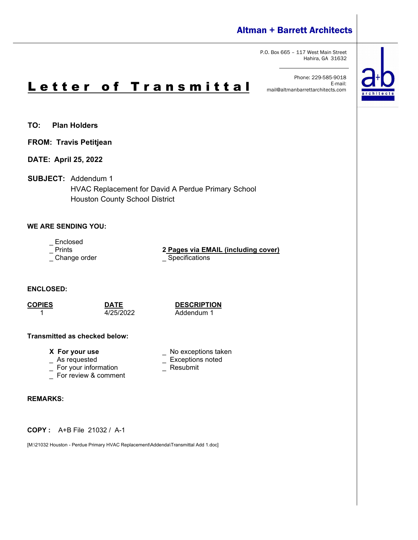# Altman + Barrett Architects

P.O. Box 665 – 117 West Main Street Hahira, GA 31632

Phone: 229-585-9018 E-mail: mail@altmanbarrettarchitects.com



- **TO: Plan Holders**
- **FROM: Travis Petitjean**
- **DATE: April 25, 2022**
- **SUBJECT:** Addendum 1

HVAC Replacement for David A Perdue Primary School Houston County School District

### **WE ARE SENDING YOU:**

- \_ Enclosed<br>\_ Prints
- 
- \_ Change order \_\_\_\_\_\_\_\_\_\_\_\_\_\_\_\_\_\_\_\_\_\_\_\_\_\_\_ Specifications

**2 Pages via EMAIL (including cover)** 

**ENCLOSED:**

**COPIES DATE DESCRIPTION** Addendum 1

\_ Exceptions noted<br>\_ Resubmit

### **Transmitted as checked below:**

- **X** For your use  $\qquad \qquad$  No exceptions taken  $\qquad \qquad$  As requested  $\qquad \qquad \qquad$  Exceptions noted
- 
- $\overline{\phantom{a}}$  For your information
- For review & comment

### **REMARKS:**

**COPY :** A+B File 21032 / A-1

[M:\21032 Houston - Perdue Primary HVAC Replacement\Addenda\Transmittal Add 1.doc]